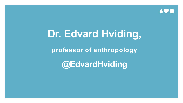

## **Dr. Edvard Hviding,**

**professor of anthropology**

**@EdvardHviding**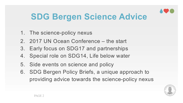

#### **SDG Bergen Science Advice**

- 1. The science-policy nexus
- 2. 2017 UN Ocean Conference the start
- 3. Early focus on SDG17 and partnerships
- 4. Special role on SDG14, Life below water
- 5. Side events on science and policy
- 6. SDG Bergen Policy Briefs, a unique approach to providing advice towards the science-policy nexus

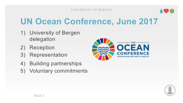

#### **UN Ocean Conference, June 2017**

- 1) University of Bergen delegation
- 2) Reception
- 3) Representation
- 4) Building partnerships
- 5) Voluntary commitments



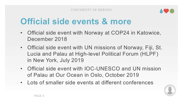

#### **Official side events & more**

- Official side event with Norway at COP24 in Katowice, December 2018
- Official side event with UN missions of Norway, Fiji, St. Lucia and Palau at High-level Political Forum (HLPF) in New York, July 2019
- Official side event with IOC-UNESCO and UN mission of Palau at Our Ocean in Oslo, October 2019
- Lots of smaller side events at different conferences

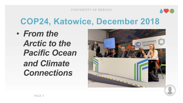

#### **COP24, Katowice, December 2018**

• *From the Arctic to the Pacific Ocean and Climate Connections*



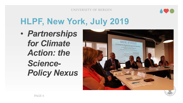#### UNIVERSITY OF BERGEN



### **HLPF, New York, July 2019**

• *Partnerships for Climate Action: the Science-Policy Nexus*



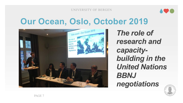

UNIVERSITY OF BERGEN

#### **Our Ocean, Oslo, October 2019**



*The role of research and capacitybuilding in the United Nations BBNJ negotiations*

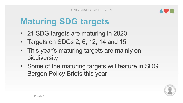

### **Maturing SDG targets**

- 21 SDG targets are maturing in 2020
- Targets on SDGs 2, 6, 12, 14 and 15
- This year's maturing targets are mainly on biodiversity
- Some of the maturing targets will feature in SDG Bergen Policy Briefs this year